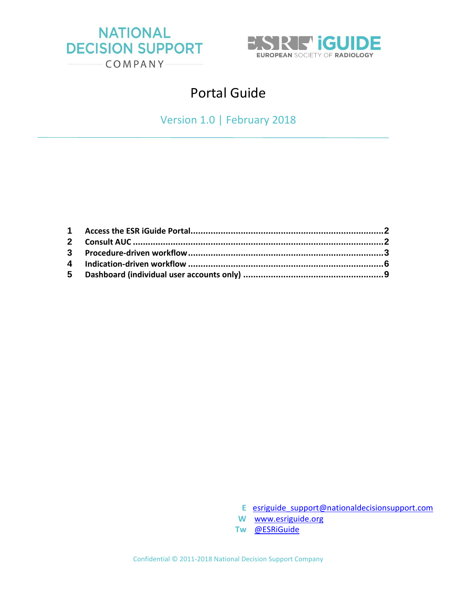



# Portal Guide

Version 1.0 | February 2018

- **E** [esriguide\\_support@nationaldecisionsupport.com](mailto:esriguide_support@nationaldecisionsupport.com)
- **W** [www.esriguide.org](http://www.esriguide.org/)
- **Tw** [@ESRiGuide](https://twitter.com/esriguide)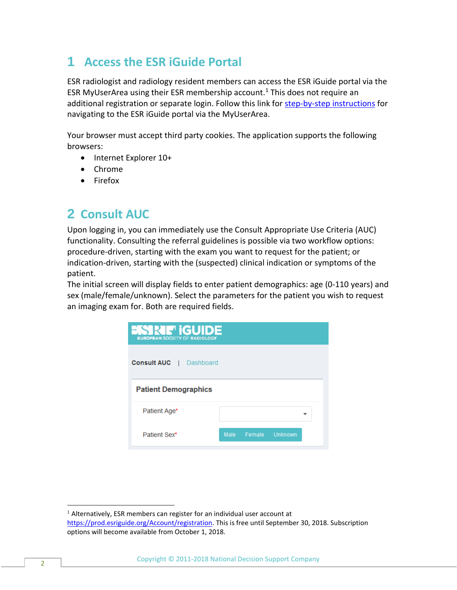## <span id="page-1-0"></span>**1 Access the ESR iGuide Portal**

ESR radiologist and radiology resident members can access the ESR iGuide portal via the ESR MyUserArea using their ESR membership account.<sup>1</sup> This does not require an additional registration or separate login. Follow this link for [step-by-step instructions](https://www.myesr.org/article/1790) for navigating to the ESR iGuide portal via the MyUserArea.

Your browser must accept third party cookies. The application supports the following browsers:

- Internet Explorer 10+
- Chrome
- Firefox

### <span id="page-1-1"></span>**2 Consult AUC**

Upon logging in, you can immediately use the Consult Appropriate Use Criteria (AUC) functionality. Consulting the referral guidelines is possible via two workflow options: procedure-driven, starting with the exam you want to request for the patient; or indication-driven, starting with the (suspected) clinical indication or symptoms of the patient.

The initial screen will display fields to enter patient demographics: age (0-110 years) and sex (male/female/unknown). Select the parameters for the patient you wish to request an imaging exam for. Both are required fields.

| <b>ESRE</b> GUIDE<br><b>EUROPEAN SOCIETY OF RADIOLOGY</b> |        |        |         |  |
|-----------------------------------------------------------|--------|--------|---------|--|
| <b>Consult AUC</b><br>Dashboard<br>$\mathbf{I}$           |        |        |         |  |
| <b>Patient Demographics</b>                               |        |        |         |  |
| Patient Age*                                              |        |        |         |  |
| Patient Sex*                                              | Male - | Female | Unknown |  |

 $<sup>1</sup>$  Alternatively, ESR members can register for an individual user account at</sup> [https://prod.esriguide.org/Account/registration.](https://prod.esriguide.org/Account/registration) This is free until September 30, 2018. Subscription options will become available from October 1, 2018.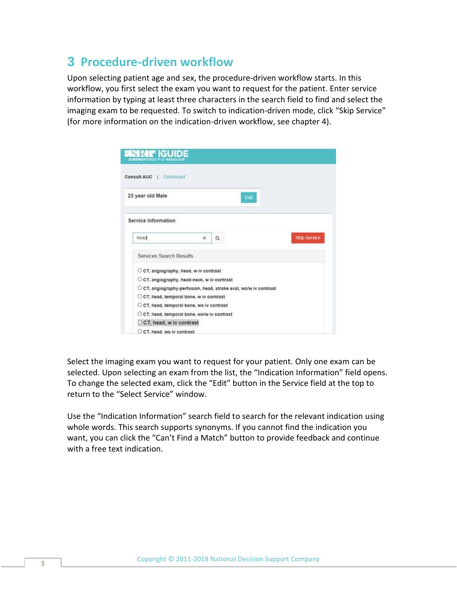### <span id="page-2-0"></span>**3 Procedure-driven workflow**

Upon selecting patient age and sex, the procedure-driven workflow starts. In this workflow, you first select the exam you want to request for the patient. Enter service information by typing at least three characters in the search field to find and select the imaging exam to be requested. To switch to indication-driven mode, click "Skip Service" (for more information on the indication-driven workflow, see chapter 4).

| de de la provincia de la provincia del provincia del provincia del provincia del provincia del provincia del p<br>OFFAN SOCIETY CF NADIOLOGI |                                                                  |      |                     |
|----------------------------------------------------------------------------------------------------------------------------------------------|------------------------------------------------------------------|------|---------------------|
| <b>Consult AUC</b>   Dashboard                                                                                                               |                                                                  |      |                     |
| 23 year old Male                                                                                                                             |                                                                  | Edit |                     |
| Service Information                                                                                                                          |                                                                  |      |                     |
| head                                                                                                                                         | $\mathbf{x}$<br>Q                                                |      | <b>Skip Service</b> |
| Services Search Results                                                                                                                      |                                                                  |      |                     |
|                                                                                                                                              | C CT, angiography, head, w iv contrast                           |      |                     |
|                                                                                                                                              | C CT, angiography, head-neck, w iv contrast                      |      |                     |
|                                                                                                                                              | O CT, angiography-perfusion, head, stroke eval, wolw iv contrast |      |                     |
|                                                                                                                                              | O CT, head, temporal bone, w iv contrast                         |      |                     |
|                                                                                                                                              | O CT, head, temporal bone, wo iv contrast                        |      |                     |
|                                                                                                                                              | O CT, head, temporal bone, wo/w iv contrast                      |      |                     |
| C CT, head, w iv contrast                                                                                                                    |                                                                  |      |                     |
| C CT, head, wo iv contrast                                                                                                                   |                                                                  |      |                     |

Select the imaging exam you want to request for your patient. Only one exam can be selected. Upon selecting an exam from the list, the "Indication Information" field opens. To change the selected exam, click the "Edit" button in the Service field at the top to return to the "Select Service" window.

Use the "Indication Information" search field to search for the relevant indication using whole words. This search supports synonyms. If you cannot find the indication you want, you can click the "Can't Find a Match" button to provide feedback and continue with a free text indication.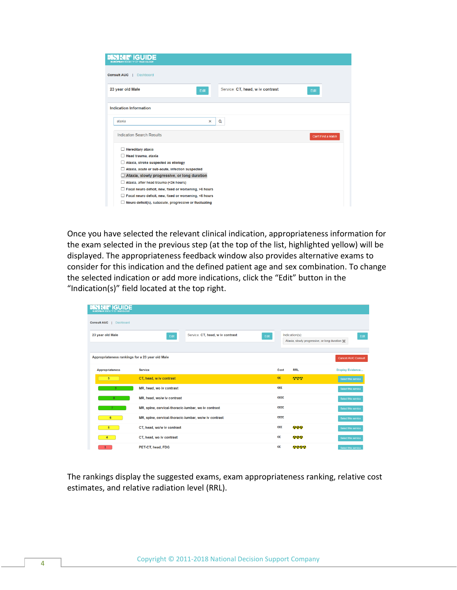| iGl<br>ECIL                                                   |                                          |
|---------------------------------------------------------------|------------------------------------------|
| <b>Consult AUC</b><br><b>Dashboard</b>                        |                                          |
| 23 year old Male<br>Edit                                      | Service: CT, head, w iv contrast<br>Edit |
| <b>Indication Information</b>                                 |                                          |
| ataxia<br>$\mathsf{x}$                                        | $\alpha$                                 |
| <b>Indication Search Results</b>                              | Can't Find a Match                       |
| $\Box$ Hereditary ataxia                                      |                                          |
| $\Box$ Head trauma, ataxia                                    |                                          |
| $\Box$ Ataxia, stroke suspected as etiology                   |                                          |
| Ataxia, acute or sub-acute, infection suspected               |                                          |
| Ataxia, slowly progressive, or long duration                  |                                          |
| $\Box$ Ataxia, after head trauma (<24 hours)                  |                                          |
| Focal neuro deficit, new, fixed or worsening, >6 hours        |                                          |
| Focal neuro deficit, new, fixed or worsening, <6 hours        |                                          |
| $\Box$ Neuro deficit(s), subacute, progressive or fluctuating |                                          |

Once you have selected the relevant clinical indication, appropriateness information for the exam selected in the previous step (at the top of the list, highlighted yellow) will be displayed. The appropriateness feedback window also provides alternative exams to consider for this indication and the defined patient age and sex combination. To change the selected indication or add more indications, click the "Edit" button in the "Indication(s)" field located at the top right.

| <b>EUROPEAN SOCIETY OF RADIOLOGY</b>            |                                                       |                                  |      |                                       |                |                                                |                           |
|-------------------------------------------------|-------------------------------------------------------|----------------------------------|------|---------------------------------------|----------------|------------------------------------------------|---------------------------|
| <b>Consult AUC</b><br>Dashboard                 |                                                       |                                  |      |                                       |                |                                                |                           |
| 23 year old Male                                | Edit                                                  | Service: CT, head, w iv contrast | Edit |                                       | Indication(s): |                                                | Edit                      |
|                                                 |                                                       |                                  |      |                                       |                | Ataxia, slowly progressive, or long duration * |                           |
|                                                 |                                                       |                                  |      |                                       |                |                                                |                           |
| Appropriateness rankings for a 23 year old Male |                                                       |                                  |      |                                       |                |                                                | <b>Cancel AUC Consult</b> |
| <b>Appropriateness</b>                          | <b>Service</b>                                        |                                  |      | Cost                                  | <b>RRL</b>     | <b>Display Evidence</b>                        |                           |
| 5                                               | CT, head, w iv contrast                               |                                  |      | $\epsilon \epsilon$                   | 6999           | Select this service                            |                           |
| 9                                               | MR, head, wo iv contrast                              |                                  |      | $\epsilon \epsilon \epsilon$          |                | Select this service                            |                           |
| 8                                               | MR, head, wo/w iv contrast                            |                                  |      | $\epsilon \epsilon \epsilon$          |                | Select this service                            |                           |
|                                                 | MR, spine, cervical-thoracic-lumbar, wo iv contrast   |                                  |      | $\epsilon \epsilon \epsilon \epsilon$ |                | Select this service                            |                           |
| 6                                               | MR, spine, cervical-thoracic-lumbar, wo/w iv contrast |                                  |      | €€€€                                  |                | Select this service                            |                           |
| 5                                               | CT, head, wo/w iv contrast                            |                                  |      | $\epsilon \epsilon \epsilon$          | 222            | Select this service                            |                           |
| 4                                               | CT, head, wo iv contrast                              |                                  |      | €€                                    | 666            | Select this service                            |                           |
| 3 <sup>2</sup>                                  | PET-CT, head, FDG                                     |                                  |      | €€                                    | 2222           | Select this service                            |                           |

The rankings display the suggested exams, exam appropriateness ranking, relative cost estimates, and relative radiation level (RRL).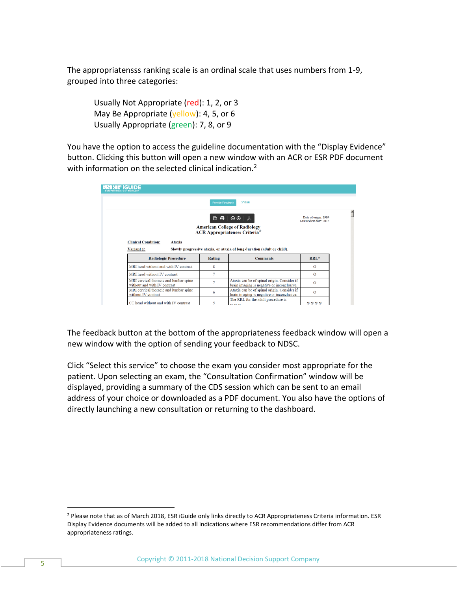The appropriatensss ranking scale is an ordinal scale that uses numbers from 1-9, grouped into three categories:

Usually Not Appropriate (red): 1, 2, or 3 May Be Appropriate (yellow): 4, 5, or 6 Usually Appropriate (green): 7, 8, or 9

You have the option to access the guideline documentation with the "Display Evidence" button. Clicking this button will open a new window with an ACR or ESR PDF document with information on the selected clinical indication.<sup>2</sup>

| ESRI FIGUIDE<br><b>BURGPBAN SOCIETY OF RADIOLOGY</b>                   |                         |                                                                                           |                                                 |
|------------------------------------------------------------------------|-------------------------|-------------------------------------------------------------------------------------------|-------------------------------------------------|
|                                                                        | <b>Provide Feedback</b> | <b>ET ESR</b>                                                                             |                                                 |
|                                                                        | 圆量                      | $\Theta$                                                                                  | Date of origin: 1999<br>Last review date: 2012. |
|                                                                        |                         | <b>American College of Radiology</b><br><b>ACR Appropriateness Criteria<sup>®</sup></b>   |                                                 |
| <b>Clinical Condition:</b><br><b>Ataxia</b>                            |                         |                                                                                           |                                                 |
| Variant 1:                                                             |                         | Slowly progressive ataxia, or ataxia of long duration (adult or child).                   |                                                 |
| <b>Radiologic Procedure</b>                                            | Rating                  | <b>Comments</b>                                                                           | RRL*                                            |
| MRI head without and with IV contrast                                  | 8                       |                                                                                           | $\Omega$                                        |
| MRI head without IV contrast                                           | 7                       |                                                                                           | $\Omega$                                        |
| MRI cervical thoracic and lumbar spine<br>without and with IV contrast |                         | Ataxia can be of spinal origin. Consider if<br>brain imaging is negative or inconclusive. | $\Omega$                                        |
| MRI cervical thoracic and lumbar spine                                 |                         | Ataxia can be of spinal origin. Consider if                                               |                                                 |
| without IV contrast                                                    | 6                       | brain imaging is negative or inconclusive.                                                | $\Omega$                                        |

The feedback button at the bottom of the appropriateness feedback window will open a new window with the option of sending your feedback to NDSC.

Click "Select this service" to choose the exam you consider most appropriate for the patient. Upon selecting an exam, the "Consultation Confirmation" window will be displayed, providing a summary of the CDS session which can be sent to an email address of your choice or downloaded as a PDF document. You also have the options of directly launching a new consultation or returning to the dashboard.

<sup>&</sup>lt;sup>2</sup> Please note that as of March 2018, ESR iGuide only links directly to ACR Appropriateness Criteria information. ESR Display Evidence documents will be added to all indications where ESR recommendations differ from ACR appropriateness ratings.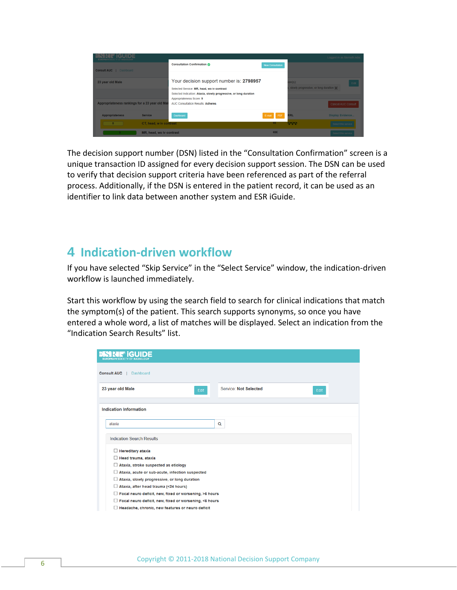| <b>EUROPEAN SOCIETY OF RADIOLOGY</b>           |                                                                                                                                                                                         |                             | Logged in as fdemuth.ndsc                        |
|------------------------------------------------|-----------------------------------------------------------------------------------------------------------------------------------------------------------------------------------------|-----------------------------|--------------------------------------------------|
| <b>Consult AUC</b>   Dashboard                 | <b>Consultation Confirmation</b>                                                                                                                                                        | New Consultation            |                                                  |
| 23 year old Male                               | Your decision support number is: 2798957<br>Selected Service: MR, head, wo iv contrast<br>Selected Indication: Ataxia, slowly progressive, or long duration<br>Appropriateness Score: 9 | $on(s)$ :                   | Edit<br>slowly progressive, or long duration set |
| Appropriateness rankings for a 23 year old Mal | <b>AUC Consultation Results: Adheres</b>                                                                                                                                                |                             | Cancel AUC Consult                               |
| <b>Appropriateness</b><br><b>Service</b>       | Dashboard                                                                                                                                                                               | <b>RRL</b><br>E-mail<br>PDF | <b>Display Evidence</b>                          |
|                                                | CT, head, w iv contrast                                                                                                                                                                 | <b>CARDIO</b><br>€€         | Select this service                              |
|                                                | MR, head, wo iv contrast                                                                                                                                                                | eee                         | Select this service                              |

The decision support number (DSN) listed in the "Consultation Confirmation" screen is a unique transaction ID assigned for every decision support session. The DSN can be used to verify that decision support criteria have been referenced as part of the referral process. Additionally, if the DSN is entered in the patient record, it can be used as an identifier to link data between another system and ESR iGuide.

#### <span id="page-5-0"></span>**4 Indication-driven workflow**

If you have selected "Skip Service" in the "Select Service" window, the indication-driven workflow is launched immediately.

Start this workflow by using the search field to search for clinical indications that match the symptom(s) of the patient. This search supports synonyms, so once you have entered a whole word, a list of matches will be displayed. Select an indication from the "Indication Search Results" list.

| <b>Consult AUC</b><br>Dashboard                               |                               |
|---------------------------------------------------------------|-------------------------------|
| 23 year old Male<br>Edit                                      | Service: Not Selected<br>Edit |
| <b>Indication Information</b>                                 |                               |
| ataxia                                                        | Q                             |
| <b>Indication Search Results</b>                              |                               |
| $\Box$ Hereditary ataxia                                      |                               |
| $\Box$ Head trauma, ataxia                                    |                               |
| $\Box$ Ataxia, stroke suspected as etiology                   |                               |
| Ataxia, acute or sub-acute, infection suspected               |                               |
| $\Box$ Ataxia, slowly progressive, or long duration           |                               |
| $\Box$ Ataxia, after head trauma (<24 hours)                  |                               |
| $\Box$ Focal neuro deficit, new, fixed or worsening, >6 hours |                               |
| Focal neuro deficit, new, fixed or worsening, <6 hours        |                               |
| Headache, chronic, new features or neuro deficit              |                               |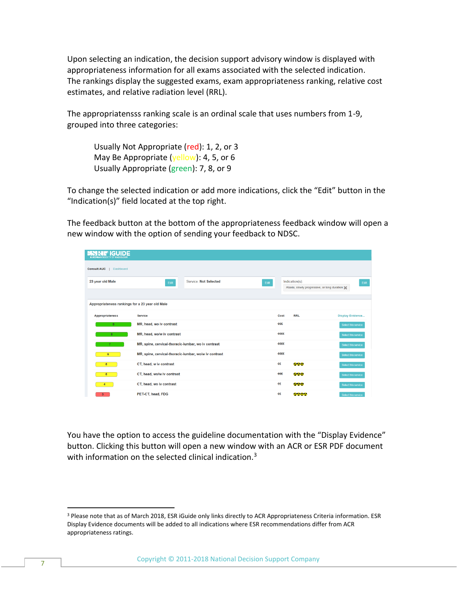Upon selecting an indication, the decision support advisory window is displayed with appropriateness information for all exams associated with the selected indication. The rankings display the suggested exams, exam appropriateness ranking, relative cost estimates, and relative radiation level (RRL).

The appropriatensss ranking scale is an ordinal scale that uses numbers from 1-9, grouped into three categories:

Usually Not Appropriate (red): 1, 2, or 3 May Be Appropriate (yellow): 4, 5, or 6 Usually Appropriate (green): 7, 8, or 9

To change the selected indication or add more indications, click the "Edit" button in the "Indication(s)" field located at the top right.

The feedback button at the bottom of the appropriateness feedback window will open a new window with the option of sending your feedback to NDSC.

| <b>GUIDE</b><br><b>EUROPEAN SOCIETY OF RADIOLOGY</b> |                                                       |                       |      |                                       |                                                |                         |      |
|------------------------------------------------------|-------------------------------------------------------|-----------------------|------|---------------------------------------|------------------------------------------------|-------------------------|------|
| <b>Consult AUC</b><br>Dashboard                      |                                                       |                       |      |                                       |                                                |                         |      |
| 23 year old Male                                     | Edit                                                  | Service: Not Selected | Edit |                                       | Indication(s):                                 |                         | Edit |
|                                                      |                                                       |                       |      |                                       | Ataxia, slowly progressive, or long duration % |                         |      |
| Appropriateness rankings for a 23 year old Male      |                                                       |                       |      |                                       |                                                |                         |      |
| <b>Appropriateness</b>                               | <b>Service</b>                                        |                       |      | Cost                                  | <b>RRL</b>                                     | <b>Display Evidence</b> |      |
| $\overline{9}$                                       | MR, head, wo iv contrast                              |                       |      | €€€                                   |                                                | Select this service     |      |
| 8                                                    | MR, head, wo/w iv contrast                            |                       |      | €€€€                                  |                                                | Select this service     |      |
|                                                      | MR, spine, cervical-thoracic-lumbar, wo iv contrast   |                       |      | $\epsilon \epsilon \epsilon \epsilon$ |                                                | Select this service     |      |
| 6                                                    | MR, spine, cervical-thoracic-lumbar, wo/w iv contrast |                       |      | $\epsilon \epsilon \epsilon$          |                                                | Select this service     |      |
| 5                                                    | CT, head, w iv contrast                               |                       |      | $\epsilon\epsilon$                    | 888                                            | Select this service     |      |
| 5                                                    | CT, head, wo/w iv contrast                            |                       |      | €€€                                   | 222                                            | Select this service     |      |
| 4                                                    | CT, head, wo iv contrast                              |                       |      | €€                                    | 888                                            | Select this service     |      |
| 3 <sup>2</sup>                                       | PET-CT, head, FDG                                     |                       |      | €€                                    | 2222                                           | Select this service     |      |

You have the option to access the guideline documentation with the "Display Evidence" button. Clicking this button will open a new window with an ACR or ESR PDF document with information on the selected clinical indication.<sup>3</sup>

<sup>&</sup>lt;sup>3</sup> Please note that as of March 2018, ESR iGuide only links directly to ACR Appropriateness Criteria information. ESR Display Evidence documents will be added to all indications where ESR recommendations differ from ACR appropriateness ratings.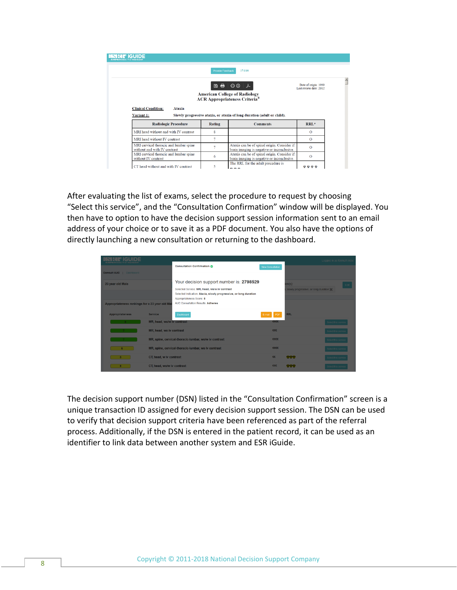| <b>IDORAN SOCIETY OF BADIOLOG</b>                                      |                         |                                                                                                                                                                                                            |                                                |
|------------------------------------------------------------------------|-------------------------|------------------------------------------------------------------------------------------------------------------------------------------------------------------------------------------------------------|------------------------------------------------|
|                                                                        | <b>Provide Feedback</b> | $Z$ ESR                                                                                                                                                                                                    |                                                |
|                                                                        |                         | $\begin{array}{c c c c c c} \hline \mathbf{B} & \mathbf{B} & \mathbf{O} & \mathbf{O} & \mathcal{F} \end{array}$<br><b>American College of Radiology</b><br><b>ACR Appropriateness Criteria<sup>®</sup></b> | Date of origin: 1999<br>Last review date: 2012 |
| <b>Clinical Condition:</b><br><b>Ataxia</b><br>Variant 1:              |                         | Slowly progressive ataxia, or ataxia of long duration (adult or child).                                                                                                                                    |                                                |
| <b>Radiologic Procedure</b>                                            | <b>Rating</b>           | <b>Comments</b>                                                                                                                                                                                            | RRL*                                           |
| MRI head without and with IV contrast                                  | 8                       |                                                                                                                                                                                                            | $\Omega$                                       |
| MRI head without IV contrast                                           | 7                       |                                                                                                                                                                                                            | $\Omega$                                       |
| MRI cervical thoracic and lumbar spine<br>without and with IV contrast | 7                       | Ataxia can be of spinal origin. Consider if<br>brain imaging is negative or inconclusive.                                                                                                                  | $\Omega$                                       |
| MRI cervical thoracic and lumbar spine<br>without IV contrast          | 6                       | Ataxia can be of spinal origin. Consider if<br>brain imaging is negative or inconclusive.                                                                                                                  | $\Omega$                                       |
| CT head without and with IV contrast                                   | 5                       | The RRL for the adult procedure is<br>0.0.0                                                                                                                                                                |                                                |

After evaluating the list of exams, select the procedure to request by choosing "Select this service", and the "Consultation Confirmation" window will be displayed. You then have to option to have the decision support session information sent to an email address of your choice or to save it as a PDF document. You also have the options of directly launching a new consultation or returning to the dashboard.

| <b>ISRETIGUID</b>                             |                            |                                                                                                                                                               |                         |                                                      | Logged in as fdemuth.ndsc |
|-----------------------------------------------|----------------------------|---------------------------------------------------------------------------------------------------------------------------------------------------------------|-------------------------|------------------------------------------------------|---------------------------|
| <b>Consult AUC</b>   Dashboard                |                            | <b>Consultation Confirmation @</b>                                                                                                                            | <b>New Consultation</b> |                                                      |                           |
| 23 year old Male                              |                            | Your decision support number is: 2798529<br>Selected Service: MR, head, wo/w iv contrast<br>Selected Indication: Ataxia, slowly progressive, or long duration |                         | $nn(s)$ :<br>slowly progressive, or long duration 36 | Edit                      |
| Appropriateness rankings for a 23 year old Ma |                            | Appropriateness Score: 8<br>AUC Consultation Results: Adheres                                                                                                 |                         |                                                      |                           |
| <b>Appropriateness</b>                        | <b>Service</b>             | Dashboard                                                                                                                                                     | E-mail PDF              | <b>RRL</b>                                           |                           |
|                                               | MR, head, wo/w iv contrast |                                                                                                                                                               | eeee                    |                                                      |                           |
|                                               | MR, head, wo iv contrast   |                                                                                                                                                               | EEE                     |                                                      | Select this service       |
|                                               |                            | MR, spine, cervical-thoracic-lumbar, wo/w iv contrast                                                                                                         | eeee                    |                                                      | ict this sen              |
|                                               |                            | MR, spine, cervical-thoracic-lumbar, wo iv contrast                                                                                                           | eeee                    |                                                      | Select this service       |
|                                               | CT, head, w iv contrast    |                                                                                                                                                               | $\epsilon \epsilon$     | 668                                                  | Select this service       |
|                                               | CT, head, wo/w iv contrast |                                                                                                                                                               | EEE                     | <b>COR</b>                                           | Select this service       |

The decision support number (DSN) listed in the "Consultation Confirmation" screen is a unique transaction ID assigned for every decision support session. The DSN can be used to verify that decision support criteria have been referenced as part of the referral process. Additionally, if the DSN is entered in the patient record, it can be used as an identifier to link data between another system and ESR iGuide.